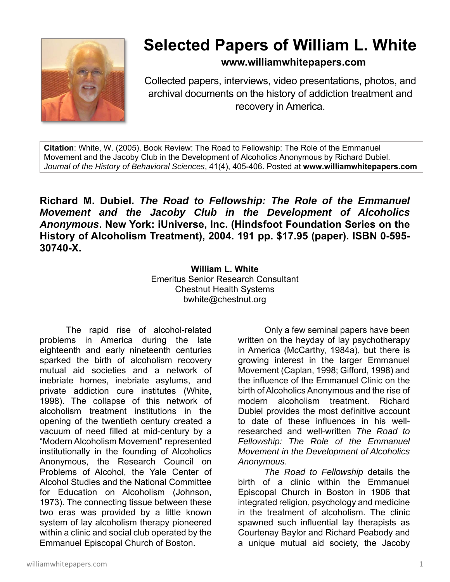

## **Selected Papers of William L. White**

**www.williamwhitepapers.com**

Collected papers, interviews, video presentations, photos, and archival documents on the history of addiction treatment and recovery in America.

**Citation**: White, W. (2005). Book Review: The Road to Fellowship: The Role of the Emmanuel Movement and the Jacoby Club in the Development of Alcoholics Anonymous by Richard Dubiel. *Journal of the History of Behavioral Sciences*, 41(4), 405-406. Posted at **www.williamwhitepapers.com** 

**Richard M. Dubiel.** *The Road to Fellowship: The Role of the Emmanuel Movement and the Jacoby Club in the Development of Alcoholics Anonymous***. New York: iUniverse, Inc. (Hindsfoot Foundation Series on the History of Alcoholism Treatment), 2004. 191 pp. \$17.95 (paper). ISBN 0-595- 30740-X.** 

> **William L. White**  Emeritus Senior Research Consultant Chestnut Health Systems bwhite@chestnut.org

The rapid rise of alcohol-related problems in America during the late eighteenth and early nineteenth centuries sparked the birth of alcoholism recovery mutual aid societies and a network of inebriate homes, inebriate asylums, and private addiction cure institutes (White, 1998). The collapse of this network of alcoholism treatment institutions in the opening of the twentieth century created a vacuum of need filled at mid-century by a "Modern Alcoholism Movement" represented institutionally in the founding of Alcoholics Anonymous, the Research Council on Problems of Alcohol, the Yale Center of Alcohol Studies and the National Committee for Education on Alcoholism (Johnson, 1973). The connecting tissue between these two eras was provided by a little known system of lay alcoholism therapy pioneered within a clinic and social club operated by the Emmanuel Episcopal Church of Boston.

Only a few seminal papers have been written on the heyday of lay psychotherapy in America (McCarthy, 1984a), but there is growing interest in the larger Emmanuel Movement (Caplan, 1998; Gifford, 1998) and the influence of the Emmanuel Clinic on the birth of Alcoholics Anonymous and the rise of modern alcoholism treatment. Richard Dubiel provides the most definitive account to date of these influences in his wellresearched and well-written *The Road to Fellowship: The Role of the Emmanuel Movement in the Development of Alcoholics Anonymous*.

*The Road to Fellowship* details the birth of a clinic within the Emmanuel Episcopal Church in Boston in 1906 that integrated religion, psychology and medicine in the treatment of alcoholism. The clinic spawned such influential lay therapists as Courtenay Baylor and Richard Peabody and a unique mutual aid society, the Jacoby